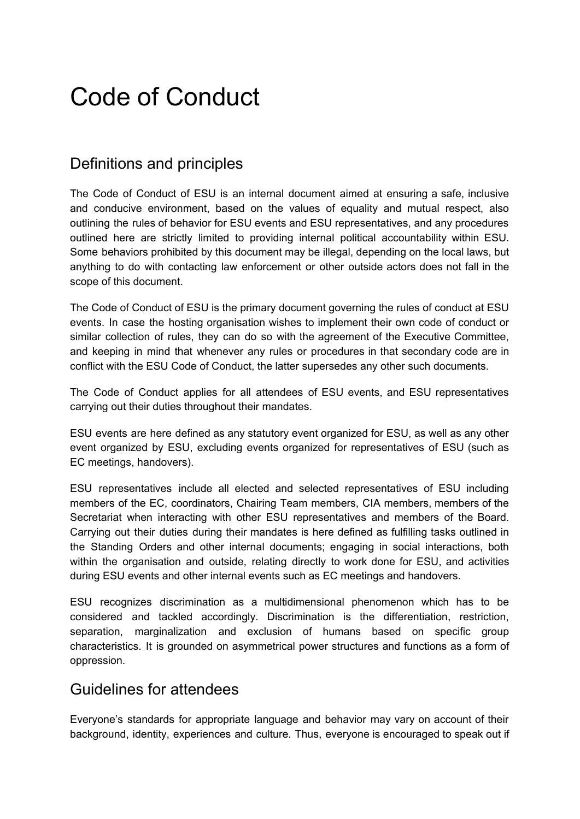# Code of Conduct

# Definitions and principles

The Code of Conduct of ESU is an internal document aimed at ensuring a safe, inclusive and conducive environment, based on the values of equality and mutual respect, also outlining the rules of behavior for ESU events and ESU representatives, and any procedures outlined here are strictly limited to providing internal political accountability within ESU. Some behaviors prohibited by this document may be illegal, depending on the local laws, but anything to do with contacting law enforcement or other outside actors does not fall in the scope of this document.

The Code of Conduct of ESU is the primary document governing the rules of conduct at ESU events. In case the hosting organisation wishes to implement their own code of conduct or similar collection of rules, they can do so with the agreement of the Executive Committee, and keeping in mind that whenever any rules or procedures in that secondary code are in conflict with the ESU Code of Conduct, the latter supersedes any other such documents.

The Code of Conduct applies for all attendees of ESU events, and ESU representatives carrying out their duties throughout their mandates.

ESU events are here defined as any statutory event organized for ESU, as well as any other event organized by ESU, excluding events organized for representatives of ESU (such as EC meetings, handovers).

ESU representatives include all elected and selected representatives of ESU including members of the EC, coordinators, Chairing Team members, CIA members, members of the Secretariat when interacting with other ESU representatives and members of the Board. Carrying out their duties during their mandates is here defined as fulfilling tasks outlined in the Standing Orders and other internal documents; engaging in social interactions, both within the organisation and outside, relating directly to work done for ESU, and activities during ESU events and other internal events such as EC meetings and handovers.

ESU recognizes discrimination as a multidimensional phenomenon which has to be considered and tackled accordingly. Discrimination is the differentiation, restriction, separation, marginalization and exclusion of humans based on specific group characteristics. It is grounded on asymmetrical power structures and functions as a form of oppression.

## Guidelines for attendees

Everyone's standards for appropriate language and behavior may vary on account of their background, identity, experiences and culture. Thus, everyone is encouraged to speak out if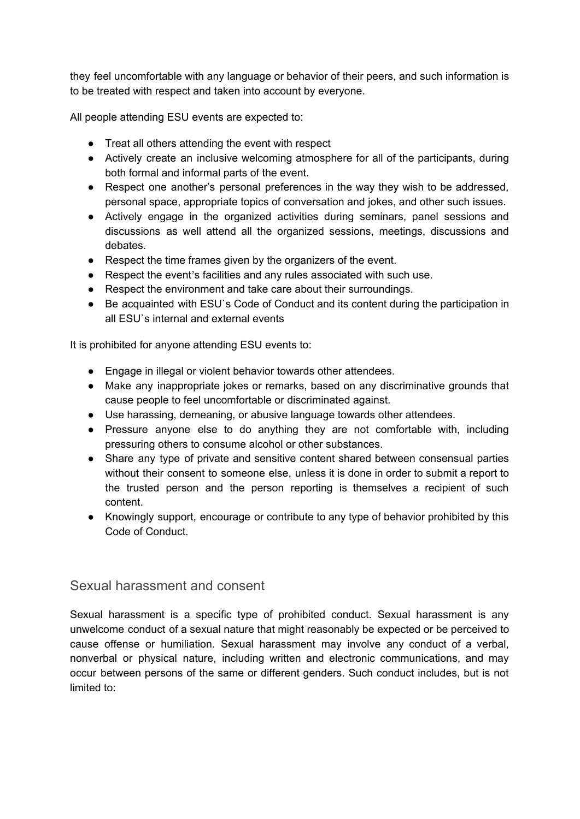they feel uncomfortable with any language or behavior of their peers, and such information is to be treated with respect and taken into account by everyone.

All people attending ESU events are expected to:

- Treat all others attending the event with respect
- Actively create an inclusive welcoming atmosphere for all of the participants, during both formal and informal parts of the event.
- Respect one another's personal preferences in the way they wish to be addressed, personal space, appropriate topics of conversation and jokes, and other such issues.
- Actively engage in the organized activities during seminars, panel sessions and discussions as well attend all the organized sessions, meetings, discussions and debates.
- Respect the time frames given by the organizers of the event.
- Respect the event's facilities and any rules associated with such use.
- Respect the environment and take care about their surroundings.
- Be acquainted with ESU's Code of Conduct and its content during the participation in all ESU`s internal and external events

It is prohibited for anyone attending ESU events to:

- Engage in illegal or violent behavior towards other attendees.
- Make any inappropriate jokes or remarks, based on any discriminative grounds that cause people to feel uncomfortable or discriminated against.
- Use harassing, demeaning, or abusive language towards other attendees.
- Pressure anyone else to do anything they are not comfortable with, including pressuring others to consume alcohol or other substances.
- Share any type of private and sensitive content shared between consensual parties without their consent to someone else, unless it is done in order to submit a report to the trusted person and the person reporting is themselves a recipient of such content.
- Knowingly support, encourage or contribute to any type of behavior prohibited by this Code of Conduct.

#### Sexual harassment and consent

Sexual harassment is a specific type of prohibited conduct. Sexual harassment is any unwelcome conduct of a sexual nature that might reasonably be expected or be perceived to cause offense or humiliation. Sexual harassment may involve any conduct of a verbal, nonverbal or physical nature, including written and electronic communications, and may occur between persons of the same or different genders. Such conduct includes, but is not limited to: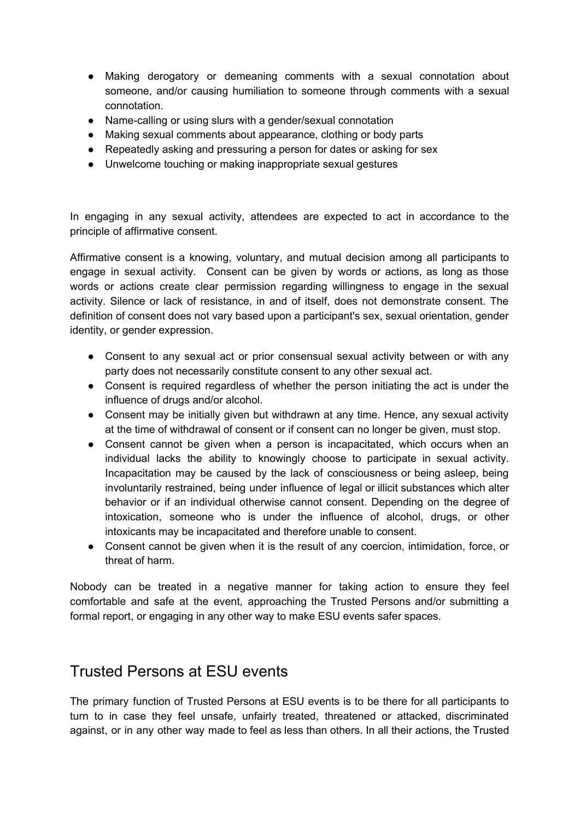- Making derogatory or demeaning comments with a sexual connotation about someone, and/or causing humiliation to someone through comments with a sexual connotation.
- Name-calling or using slurs with a gender/sexual connotation
- Making sexual comments about appearance, clothing or body parts
- Repeatedly asking and pressuring a person for dates or asking for sex
- Unwelcome touching or making inappropriate sexual gestures

In engaging in any sexual activity, attendees are expected to act in accordance to the principle of affirmative consent.

Affirmative consent is a knowing, voluntary, and mutual decision among all participants to engage in sexual activity. Consent can be given by words or actions, as long as those words or actions create clear permission regarding willingness to engage in the sexual activity. Silence or lack of resistance, in and of itself, does not demonstrate consent. The definition of consent does not vary based upon a participant's sex, sexual orientation, gender identity, or gender expression.

- Consent to any sexual act or prior consensual sexual activity between or with any party does not necessarily constitute consent to any other sexual act.
- Consent is required regardless of whether the person initiating the act is under the influence of drugs and/or alcohol.
- Consent may be initially given but withdrawn at any time. Hence, any sexual activity at the time of withdrawal of consent or if consent can no longer be given, must stop.
- Consent cannot be given when a person is incapacitated, which occurs when an individual lacks the ability to knowingly choose to participate in sexual activity. Incapacitation may be caused by the lack of consciousness or being asleep, being involuntarily restrained, being under influence of legal or illicit substances which alter behavior or if an individual otherwise cannot consent. Depending on the degree of intoxication, someone who is under the influence of alcohol, drugs, or other intoxicants may be incapacitated and therefore unable to consent.
- Consent cannot be given when it is the result of any coercion, intimidation, force, or threat of harm.

Nobody can be treated in a negative manner for taking action to ensure they feel comfortable and safe at the event, approaching the Trusted Persons and/or submitting a formal report, or engaging in any other way to make ESU events safer spaces.

## Trusted Persons at ESU events

The primary function of Trusted Persons at ESU events is to be there for all participants to turn to in case they feel unsafe, unfairly treated, threatened or attacked, discriminated against, or in any other way made to feel as less than others. In all their actions, the Trusted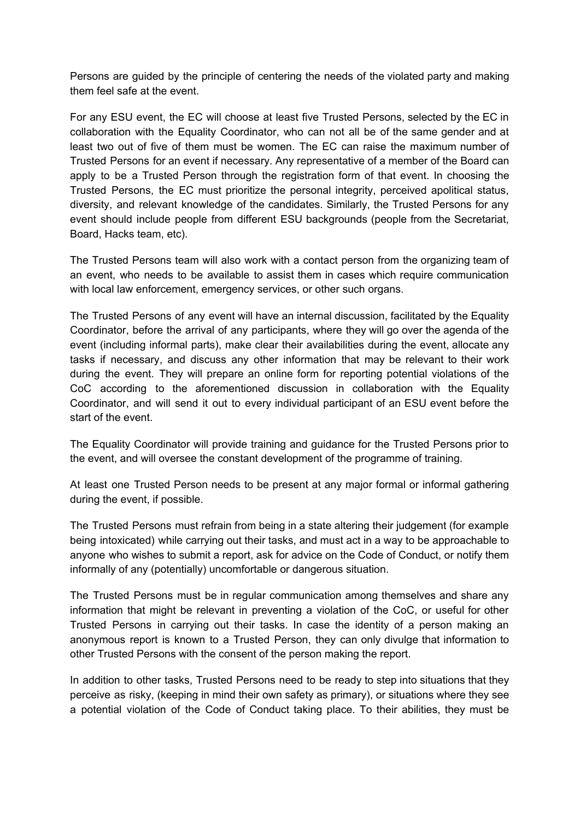Persons are guided by the principle of centering the needs of the violated party and making them feel safe at the event.

For any ESU event, the EC will choose at least five Trusted Persons, selected by the EC in collaboration with the Equality Coordinator, who can not all be of the same gender and at least two out of five of them must be women. The EC can raise the maximum number of Trusted Persons for an event if necessary. Any representative of a member of the Board can apply to be a Trusted Person through the registration form of that event. In choosing the Trusted Persons, the EC must prioritize the personal integrity, perceived apolitical status, diversity, and relevant knowledge of the candidates. Similarly, the Trusted Persons for any event should include people from different ESU backgrounds (people from the Secretariat, Board, Hacks team, etc).

The Trusted Persons team will also work with a contact person from the organizing team of an event, who needs to be available to assist them in cases which require communication with local law enforcement, emergency services, or other such organs.

The Trusted Persons of any event will have an internal discussion, facilitated by the Equality Coordinator, before the arrival of any participants, where they will go over the agenda of the event (including informal parts), make clear their availabilities during the event, allocate any tasks if necessary, and discuss any other information that may be relevant to their work during the event. They will prepare an online form for reporting potential violations of the CoC according to the aforementioned discussion in collaboration with the Equality Coordinator, and will send it out to every individual participant of an ESU event before the start of the event.

The Equality Coordinator will provide training and guidance for the Trusted Persons prior to the event, and will oversee the constant development of the programme of training.

At least one Trusted Person needs to be present at any major formal or informal gathering during the event, if possible.

The Trusted Persons must refrain from being in a state altering their judgement (for example being intoxicated) while carrying out their tasks, and must act in a way to be approachable to anyone who wishes to submit a report, ask for advice on the Code of Conduct, or notify them informally of any (potentially) uncomfortable or dangerous situation.

The Trusted Persons must be in regular communication among themselves and share any information that might be relevant in preventing a violation of the CoC, or useful for other Trusted Persons in carrying out their tasks. In case the identity of a person making an anonymous report is known to a Trusted Person, they can only divulge that information to other Trusted Persons with the consent of the person making the report.

In addition to other tasks, Trusted Persons need to be ready to step into situations that they perceive as risky, (keeping in mind their own safety as primary), or situations where they see a potential violation of the Code of Conduct taking place. To their abilities, they must be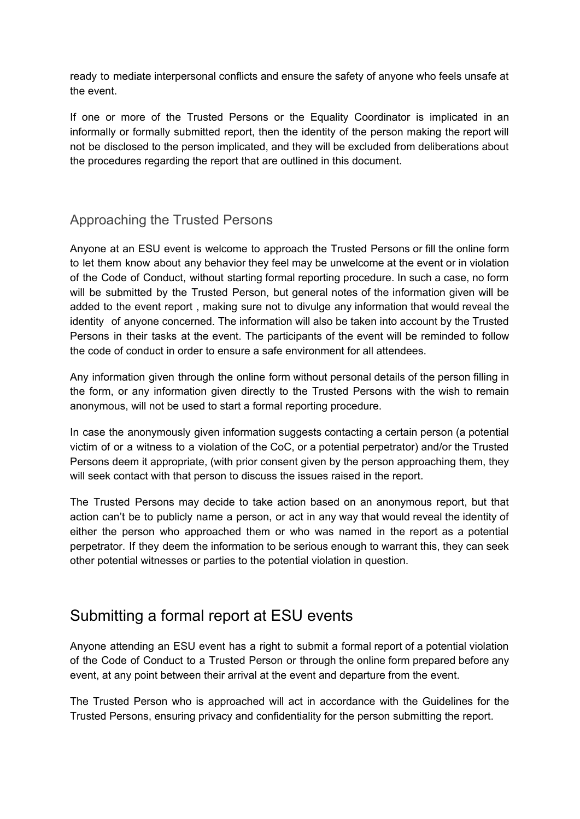ready to mediate interpersonal conflicts and ensure the safety of anyone who feels unsafe at the event.

If one or more of the Trusted Persons or the Equality Coordinator is implicated in an informally or formally submitted report, then the identity of the person making the report will not be disclosed to the person implicated, and they will be excluded from deliberations about the procedures regarding the report that are outlined in this document.

## Approaching the Trusted Persons

Anyone at an ESU event is welcome to approach the Trusted Persons or fill the online form to let them know about any behavior they feel may be unwelcome at the event or in violation of the Code of Conduct, without starting formal reporting procedure. In such a case, no form will be submitted by the Trusted Person, but general notes of the information given will be added to the event report , making sure not to divulge any information that would reveal the identity of anyone concerned. The information will also be taken into account by the Trusted Persons in their tasks at the event. The participants of the event will be reminded to follow the code of conduct in order to ensure a safe environment for all attendees.

Any information given through the online form without personal details of the person filling in the form, or any information given directly to the Trusted Persons with the wish to remain anonymous, will not be used to start a formal reporting procedure.

In case the anonymously given information suggests contacting a certain person (a potential victim of or a witness to a violation of the CoC, or a potential perpetrator) and/or the Trusted Persons deem it appropriate, (with prior consent given by the person approaching them, they will seek contact with that person to discuss the issues raised in the report.

The Trusted Persons may decide to take action based on an anonymous report, but that action can't be to publicly name a person, or act in any way that would reveal the identity of either the person who approached them or who was named in the report as a potential perpetrator. If they deem the information to be serious enough to warrant this, they can seek other potential witnesses or parties to the potential violation in question.

## Submitting a formal report at ESU events

Anyone attending an ESU event has a right to submit a formal report of a potential violation of the Code of Conduct to a Trusted Person or through the online form prepared before any event, at any point between their arrival at the event and departure from the event.

The Trusted Person who is approached will act in accordance with the Guidelines for the Trusted Persons, ensuring privacy and confidentiality for the person submitting the report.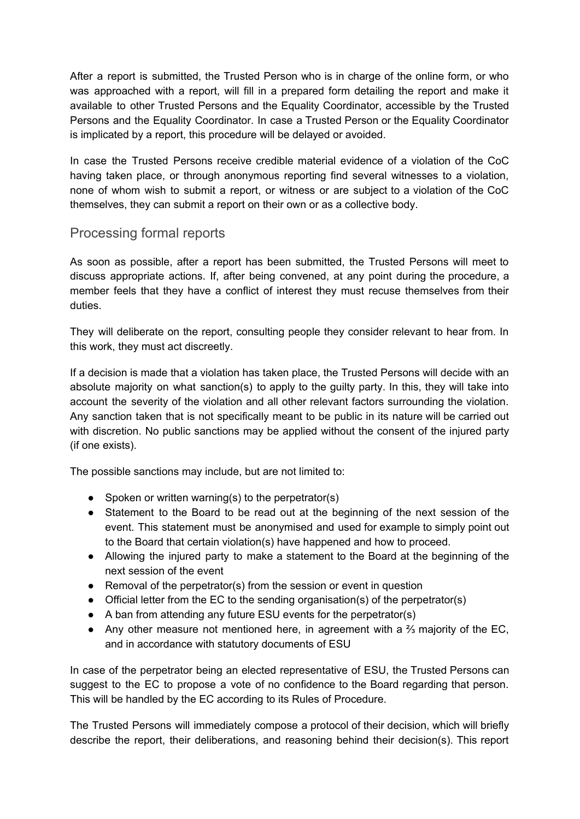After a report is submitted, the Trusted Person who is in charge of the online form, or who was approached with a report, will fill in a prepared form detailing the report and make it available to other Trusted Persons and the Equality Coordinator, accessible by the Trusted Persons and the Equality Coordinator. In case a Trusted Person or the Equality Coordinator is implicated by a report, this procedure will be delayed or avoided.

In case the Trusted Persons receive credible material evidence of a violation of the CoC having taken place, or through anonymous reporting find several witnesses to a violation, none of whom wish to submit a report, or witness or are subject to a violation of the CoC themselves, they can submit a report on their own or as a collective body.

## Processing formal reports

As soon as possible, after a report has been submitted, the Trusted Persons will meet to discuss appropriate actions. If, after being convened, at any point during the procedure, a member feels that they have a conflict of interest they must recuse themselves from their duties.

They will deliberate on the report, consulting people they consider relevant to hear from. In this work, they must act discreetly.

If a decision is made that a violation has taken place, the Trusted Persons will decide with an absolute majority on what sanction(s) to apply to the guilty party. In this, they will take into account the severity of the violation and all other relevant factors surrounding the violation. Any sanction taken that is not specifically meant to be public in its nature will be carried out with discretion. No public sanctions may be applied without the consent of the injured party (if one exists).

The possible sanctions may include, but are not limited to:

- Spoken or written warning(s) to the perpetrator(s)
- Statement to the Board to be read out at the beginning of the next session of the event. This statement must be anonymised and used for example to simply point out to the Board that certain violation(s) have happened and how to proceed.
- Allowing the injured party to make a statement to the Board at the beginning of the next session of the event
- Removal of the perpetrator(s) from the session or event in question
- Official letter from the EC to the sending organisation(s) of the perpetrator(s)
- A ban from attending any future ESU events for the perpetrator(s)
- Any other measure not mentioned here, in agreement with a ⅔ majority of the EC, and in accordance with statutory documents of ESU

In case of the perpetrator being an elected representative of ESU, the Trusted Persons can suggest to the EC to propose a vote of no confidence to the Board regarding that person. This will be handled by the EC according to its Rules of Procedure.

The Trusted Persons will immediately compose a protocol of their decision, which will briefly describe the report, their deliberations, and reasoning behind their decision(s). This report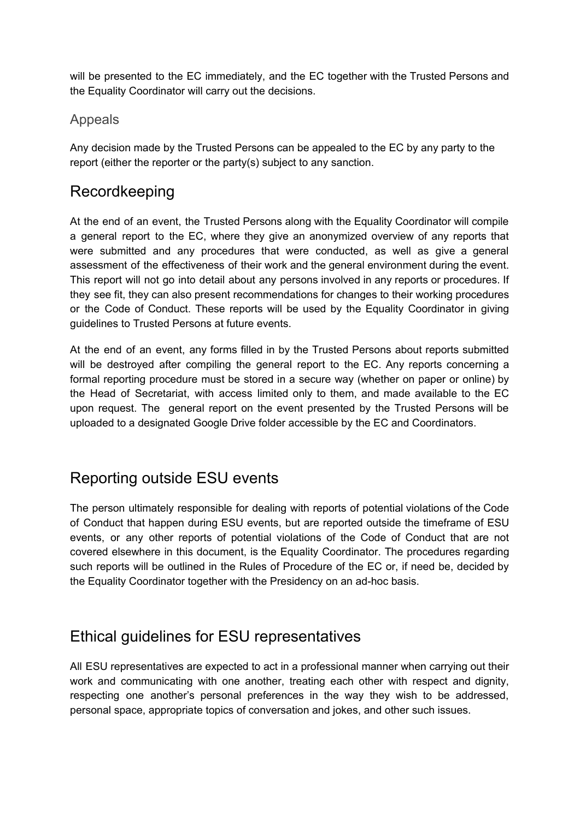will be presented to the EC immediately, and the EC together with the Trusted Persons and the Equality Coordinator will carry out the decisions.

### Appeals

Any decision made by the Trusted Persons can be appealed to the EC by any party to the report (either the reporter or the party(s) subject to any sanction.

## Recordkeeping

At the end of an event, the Trusted Persons along with the Equality Coordinator will compile a general report to the EC, where they give an anonymized overview of any reports that were submitted and any procedures that were conducted, as well as give a general assessment of the effectiveness of their work and the general environment during the event. This report will not go into detail about any persons involved in any reports or procedures. If they see fit, they can also present recommendations for changes to their working procedures or the Code of Conduct. These reports will be used by the Equality Coordinator in giving guidelines to Trusted Persons at future events.

At the end of an event, any forms filled in by the Trusted Persons about reports submitted will be destroyed after compiling the general report to the EC. Any reports concerning a formal reporting procedure must be stored in a secure way (whether on paper or online) by the Head of Secretariat, with access limited only to them, and made available to the EC upon request. The general report on the event presented by the Trusted Persons will be uploaded to a designated Google Drive folder accessible by the EC and Coordinators.

# Reporting outside ESU events

The person ultimately responsible for dealing with reports of potential violations of the Code of Conduct that happen during ESU events, but are reported outside the timeframe of ESU events, or any other reports of potential violations of the Code of Conduct that are not covered elsewhere in this document, is the Equality Coordinator. The procedures regarding such reports will be outlined in the Rules of Procedure of the EC or, if need be, decided by the Equality Coordinator together with the Presidency on an ad-hoc basis.

# Ethical guidelines for ESU representatives

All ESU representatives are expected to act in a professional manner when carrying out their work and communicating with one another, treating each other with respect and dignity, respecting one another's personal preferences in the way they wish to be addressed, personal space, appropriate topics of conversation and jokes, and other such issues.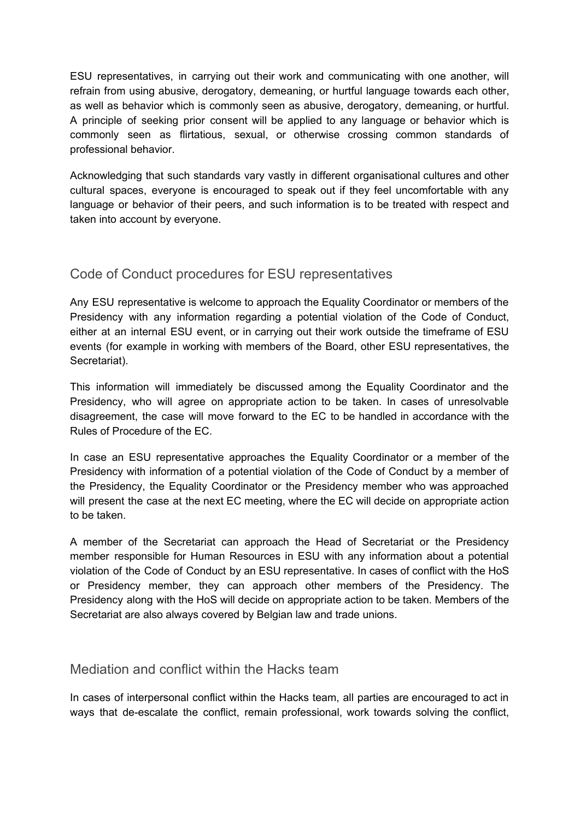ESU representatives, in carrying out their work and communicating with one another, will refrain from using abusive, derogatory, demeaning, or hurtful language towards each other, as well as behavior which is commonly seen as abusive, derogatory, demeaning, or hurtful. A principle of seeking prior consent will be applied to any language or behavior which is commonly seen as flirtatious, sexual, or otherwise crossing common standards of professional behavior.

Acknowledging that such standards vary vastly in different organisational cultures and other cultural spaces, everyone is encouraged to speak out if they feel uncomfortable with any language or behavior of their peers, and such information is to be treated with respect and taken into account by everyone.

#### Code of Conduct procedures for ESU representatives

Any ESU representative is welcome to approach the Equality Coordinator or members of the Presidency with any information regarding a potential violation of the Code of Conduct, either at an internal ESU event, or in carrying out their work outside the timeframe of ESU events (for example in working with members of the Board, other ESU representatives, the Secretariat).

This information will immediately be discussed among the Equality Coordinator and the Presidency, who will agree on appropriate action to be taken. In cases of unresolvable disagreement, the case will move forward to the EC to be handled in accordance with the Rules of Procedure of the EC.

In case an ESU representative approaches the Equality Coordinator or a member of the Presidency with information of a potential violation of the Code of Conduct by a member of the Presidency, the Equality Coordinator or the Presidency member who was approached will present the case at the next EC meeting, where the EC will decide on appropriate action to be taken.

A member of the Secretariat can approach the Head of Secretariat or the Presidency member responsible for Human Resources in ESU with any information about a potential violation of the Code of Conduct by an ESU representative. In cases of conflict with the HoS or Presidency member, they can approach other members of the Presidency. The Presidency along with the HoS will decide on appropriate action to be taken. Members of the Secretariat are also always covered by Belgian law and trade unions.

#### Mediation and conflict within the Hacks team

In cases of interpersonal conflict within the Hacks team, all parties are encouraged to act in ways that de-escalate the conflict, remain professional, work towards solving the conflict,